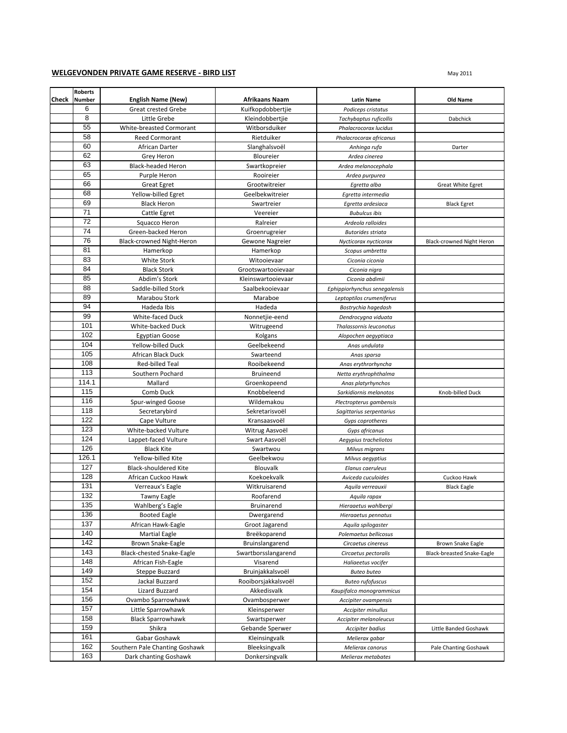## **WELGEVONDEN PRIVATE GAME RESERVE - BIRD LIST**

|       | <b>Roberts</b> |                                |                       |                               |                            |
|-------|----------------|--------------------------------|-----------------------|-------------------------------|----------------------------|
| Check | <b>Number</b>  | <b>English Name (New)</b>      | <b>Afrikaans Naam</b> | <b>Latin Name</b>             | Old Name                   |
|       | 6              | <b>Great crested Grebe</b>     | Kuifkopdobbertjie     | Podiceps cristatus            |                            |
|       | 8              | Little Grebe                   | Kleindobbertjie       | Tachybaptus ruficollis        | Dabchick                   |
|       | 55             | White-breasted Cormorant       | Witborsduiker         | Phalacrocorax lucidus         |                            |
|       | 58             | <b>Reed Cormorant</b>          | Rietduiker            | Phalacrocorax africanus       |                            |
|       | 60             | African Darter                 | Slanghalsvoël         | Anhinga rufa                  | Darter                     |
|       | 62             | Grey Heron                     | Bloureier             | Ardea cinerea                 |                            |
|       | 63             | <b>Black-headed Heron</b>      | Swartkopreier         | Ardea melanocephala           |                            |
|       | 65             | Purple Heron                   | Rooireier             | Ardea purpurea                |                            |
|       | 66             | <b>Great Egret</b>             | Grootwitreier         | Egretta alba                  | Great White Egret          |
|       | 68             | Yellow-billed Egret            | Geelbekwitreier       | Egretta intermedia            |                            |
|       | 69             | <b>Black Heron</b>             | Swartreier            | Egretta ardesiaca             | <b>Black Egret</b>         |
|       | 71             | Cattle Egret                   | Veereier              | <b>Bubulcus ibis</b>          |                            |
|       | 72             | Squacco Heron                  | Ralreier              | Ardeola ralloides             |                            |
|       | 74             | Green-backed Heron             | Groenrugreier         | <b>Butorides striata</b>      |                            |
|       | 76             | Black-crowned Night-Heron      | Gewone Nagreier       | Nycticorax nycticorax         | Black-crowned Night Heron  |
|       | 81             | Hamerkop                       | Hamerkop              | Scopus umbretta               |                            |
|       | 83             | <b>White Stork</b>             | Witooievaar           | Ciconia ciconia               |                            |
|       | 84             | <b>Black Stork</b>             | Grootswartooievaar    | Ciconia nigra                 |                            |
|       | 85             | Abdim's Stork                  | Kleinswartooievaar    | Ciconia abdimii               |                            |
|       | 88             | Saddle-billed Stork            | Saalbekooievaar       | Ephippiorhynchus senegalensis |                            |
|       | 89             | Marabou Stork                  | Maraboe               | Leptoptilos crumeniferus      |                            |
|       | 94             | Hadeda Ibis                    | Hadeda                | Bostrychia hagedash           |                            |
|       | 99             | White-faced Duck               | Nonnetjie-eend        | Dendrocygna viduata           |                            |
|       | 101            | White-backed Duck              | Witrugeend            | Thalassornis leuconotus       |                            |
|       | 102            | <b>Egyptian Goose</b>          | Kolgans               | Alopochen aegyptiaca          |                            |
|       | 104            | Yellow-billed Duck             | Geelbekeend           | Anas undulata                 |                            |
|       | 105            | African Black Duck             | Swarteend             | Anas sparsa                   |                            |
|       | 108            | Red-billed Teal                | Rooibekeend           | Anas erythrorhyncha           |                            |
|       | 113            | Southern Pochard               | <b>Bruineend</b>      | Netta erythrophthalma         |                            |
|       | 114.1          | Mallard                        | Groenkopeend          | Anas platyrhynchos            |                            |
|       | 115            | Comb Duck                      | Knobbeleend           | Sarkidiornis melanotos        | Knob-billed Duck           |
|       | 116            | Spur-winged Goose              | Wildemakou            | Plectropterus gambensis       |                            |
|       | 118            | Secretarybird                  | Sekretarisvoël        | Sagittarius serpentarius      |                            |
|       | 122            | Cape Vulture                   | Kransaasvoël          | Gyps coprotheres              |                            |
|       | 123            | White-backed Vulture           | Witrug Aasvoël        | Gyps africanus                |                            |
|       | 124            | Lappet-faced Vulture           | Swart Aasvoël         | Aegypius tracheliotos         |                            |
|       | 126            | <b>Black Kite</b>              | Swartwou              | Milvus migrans                |                            |
|       | 126.1          | Yellow-billed Kite             | Geelbekwou            | Milvus aegyptius              |                            |
|       | 127            | <b>Black-shouldered Kite</b>   | Blouvalk              | Elanus caeruleus              |                            |
|       | 128            | African Cuckoo Hawk            | Koekoekvalk           | Aviceda cuculoides            | Cuckoo Hawk                |
|       | 131            | Verreaux's Eagle               | Witkruisarend         | Aquila verreauxii             | <b>Black Eagle</b>         |
|       | 132            | <b>Tawny Eagle</b>             | Roofarend             | Aquila rapax                  |                            |
|       | 135            | Wahlberg's Eagle               | Bruinarend            | Hieraaetus wahlbergi          |                            |
|       | 136            | <b>Booted Eagle</b>            | Dwergarend            | Hieraaetus pennatus           |                            |
|       | 137            | African Hawk-Eagle             | Groot Jagarend        | Aquila spilogaster            |                            |
|       | 140            | <b>Martial Eagle</b>           | Breëkoparend          | Polemaetus bellicosus         |                            |
|       | 142            | Brown Snake-Eagle              | Bruinslangarend       | Circaetus cinereus            | Brown Snake Eagle          |
|       | 143            | Black-chested Snake-Eagle      | Swartborsslangarend   | Circaetus pectoralis          | Black-breasted Snake-Eagle |
|       | 148            | African Fish-Eagle             | Visarend              | Haliaeetus vocifer            |                            |
|       | 149            | Steppe Buzzard                 | Bruinjakkalsvoël      | <b>Buteo buteo</b>            |                            |
|       | 152            | Jackal Buzzard                 | Rooiborsjakkalsvoël   | <b>Buteo rufofuscus</b>       |                            |
|       | 154            | Lizard Buzzard                 | Akkedisvalk           | Kaupifalco monogrammicus      |                            |
|       | 156            | Ovambo Sparrowhawk             | Ovambosperwer         | Accipiter ovampensis          |                            |
|       | 157            | Little Sparrowhawk             | Kleinsperwer          | Accipiter minullus            |                            |
|       | 158            | <b>Black Sparrowhawk</b>       | Swartsperwer          | Accipiter melanoleucus        |                            |
|       | 159            | Shikra                         | Gebande Sperwer       | Accipiter badius              | Little Banded Goshawk      |
|       | 161            | Gabar Goshawk                  | Kleinsingvalk         | Melierax gabar                |                            |
|       | 162            | Southern Pale Chanting Goshawk | Bleeksingvalk         | Melierax canorus              | Pale Chanting Goshawk      |
|       | 163            | Dark chanting Goshawk          | Donkersingvalk        | Melierax metabates            |                            |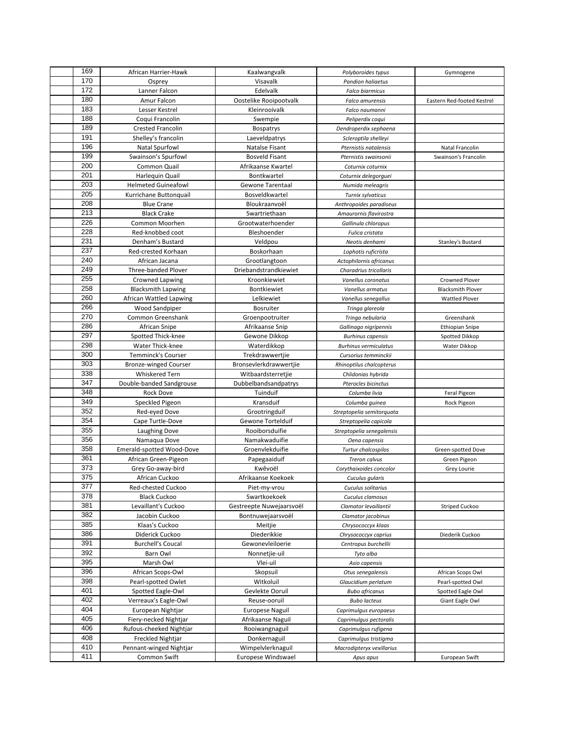| 169        | African Harrier-Hawk                                      | Kaalwangvalk                              | Polyboroides typus                             | Gymnogene                          |
|------------|-----------------------------------------------------------|-------------------------------------------|------------------------------------------------|------------------------------------|
| 170        | Osprey                                                    | Visavalk                                  | <b>Pandion haliaetus</b>                       |                                    |
| 172        | Lanner Falcon                                             | Edelvalk                                  | <b>Falco biarmicus</b>                         |                                    |
| 180        | Amur Falcon                                               | Oostelike Rooipootvalk                    | Falco amurensis                                | Eastern Red-footed Kestrel         |
| 183        | Lesser Kestrel                                            | Kleinrooivalk                             | Falco naumanni                                 |                                    |
| 188        | Coqui Francolin                                           | Swempie                                   | Peliperdix coqui                               |                                    |
| 189        | <b>Crested Francolin</b>                                  | Bospatrys                                 | Dendroperdix sephaena                          |                                    |
| 191        | Shelley's francolin                                       | Laeveldpatrys                             | Scleroptila shelleyi                           |                                    |
| 196        | <b>Natal Spurfowl</b>                                     | <b>Natalse Fisant</b>                     | Pternistis natalensis                          | Natal Francolin                    |
| 199        | Swainson's Spurfowl                                       | <b>Bosveld Fisant</b>                     | Pternistis swainsonii                          | Swainson's Francolin               |
| 200        | Common Quail                                              | Afrikaanse Kwartel                        | Coturnix coturnix                              |                                    |
| 201        | Harlequin Quail                                           | Bontkwartel                               | Coturnix delegorguei                           |                                    |
| 203        | <b>Helmeted Guineafowl</b>                                | Gewone Tarentaal                          | Numida meleagris                               |                                    |
| 205        | Kurrichane Buttonquail                                    | Bosveldkwartel                            | Turnix sylvaticus                              |                                    |
| 208        | <b>Blue Crane</b>                                         | Bloukraanvoël                             | Anthropoides paradiseus                        |                                    |
| 213        | <b>Black Crake</b>                                        | Swartriethaan                             | Amaurornis flavirostra                         |                                    |
| 226        | Common Moorhen                                            | Grootwaterhoender                         | Gallinula chloropus                            |                                    |
| 228        | Red-knobbed coot                                          | Bleshoender                               | Fulica cristata                                |                                    |
| 231        | Denham's Bustard                                          | Veldpou                                   | Neotis denhami                                 | Stanley's Bustard                  |
| 237        | Red-crested Korhaan                                       | Boskorhaan                                |                                                |                                    |
| 240        | African Jacana                                            | Grootlangtoon                             | Lophotis ruficrista<br>Actophilornis africanus |                                    |
| 249        | Three-banded Plover                                       | Driebandstrandkiewiet                     | Charadrius tricollaris                         |                                    |
| 255        | Crowned Lapwing                                           | Kroonkiewiet                              | Vanellus coronatus                             | Crowned Plover                     |
| 258        | <b>Blacksmith Lapwing</b>                                 | Bontkiewiet                               | Vanellus armatus                               | <b>Blacksmith Plover</b>           |
| 260        | African Wattled Lapwing                                   | Lelkiewiet                                | Vanellus senegallus                            |                                    |
| 266        | Wood Sandpiper                                            | Bosruiter                                 |                                                | <b>Wattled Plover</b>              |
| 270        | Common Greenshank                                         | Groenpootruiter                           | Tringa glareola<br>Tringa nebularia            | Greenshank                         |
| 286        | African Snipe                                             | Afrikaanse Snip                           |                                                |                                    |
| 297        |                                                           | Gewone Dikkop                             | Gallinago nigripennis                          | Ethiopian Snipe                    |
| 298        | Spotted Thick-knee                                        |                                           | <b>Burhinus capensis</b>                       | Spotted Dikkop                     |
| 300        | Water Thick-knee                                          | Waterdikkop                               | <b>Burhinus vermiculatus</b>                   | Water Dikkop                       |
| 303        | <b>Temminck's Courser</b><br><b>Bronze-winged Courser</b> | Trekdrawwertjie<br>Bronsevlerkdrawwertjie | Cursorius temminckii                           |                                    |
| 338        | Whiskered Tern                                            | Witbaardsterretjie                        | Rhinoptilus chalcopterus                       |                                    |
| 347        |                                                           |                                           | Chlidonias hybrida                             |                                    |
| 348        | Double-banded Sandgrouse                                  | Dubbelbandsandpatrys                      | Pterocles bicinctus                            |                                    |
| 349        | Rock Dove                                                 | Tuinduif<br>Kransduif                     | Columba livia                                  | Feral Pigeon                       |
| 352        | Speckled Pigeon<br>Red-eyed Dove                          | Grootringduif                             | Columba guinea                                 | Rock Pigeon                        |
| 354        | Cape Turtle-Dove                                          | Gewone Tortelduif                         | Streptopelia semitorquata                      |                                    |
| 355        | Laughing Dove                                             | Rooiborsduifie                            | Streptopelia capicola                          |                                    |
| 356        |                                                           |                                           | Streptopelia senegalensis                      |                                    |
| 358        | Namaqua Dove                                              | Namakwaduifie                             | Oena capensis                                  |                                    |
| 361        | Emerald-spotted Wood-Dove<br>African Green-Pigeon         | Groenvlekduifie<br>Papegaaiduif           | Turtur chalcospilos<br>Treron calvus           | Green-spotted Dove<br>Green Pigeon |
| 373        | Grey Go-away-bird                                         | Kwêvoël                                   | Corythaixoides concolor                        |                                    |
| 375        |                                                           |                                           |                                                | Grey Lourie                        |
| 377        | African Cuckoo                                            | Afrikaanse Koekoek                        | Cuculus gularis                                |                                    |
| 378        | Red-chested Cuckoo<br><b>Black Cuckoo</b>                 | Piet-my-vrou<br>Swartkoekoek              | Cuculus solitarius                             |                                    |
| 381        |                                                           | Gestreepte Nuwejaarsvoël                  | Cuculus clamosus                               |                                    |
| 382        | Levaillant's Cuckoo                                       |                                           | Clamator levaillantii                          | <b>Striped Cuckoo</b>              |
| 385        | Jacobin Cuckoo                                            | Bontnuwejaarsvoël                         | Clamator jacobinus                             |                                    |
| 386        | Klaas's Cuckoo<br>Diderick Cuckoo                         | Meitjie                                   | Chrysococcyx klaas                             |                                    |
| 391        |                                                           | Diederikkie                               | Chrysococcyx caprius                           | Diederik Cuckoo                    |
| 392        | <b>Burchell's Coucal</b>                                  | Gewonevleiloerie                          | Centropus burchellii                           |                                    |
|            | Barn Owl                                                  | Nonnetjie-uil                             | Tyto alba                                      |                                    |
| 395<br>396 | Marsh Owl                                                 | Vlei-uil                                  | Asio capensis                                  |                                    |
|            | African Scops-Owl                                         | Skopsuil                                  | Otus senegalensis                              | African Scops Owl                  |
| 398        | Pearl-spotted Owlet                                       | Witkoluil                                 | Glaucidium perlatum                            | Pearl-spotted Owl                  |
| 401        | Spotted Eagle-Owl                                         | Gevlekte Ooruil                           | <b>Bubo africanus</b>                          | Spotted Eagle Owl                  |
| 402        | Verreaux's Eagle-Owl                                      | Reuse-ooruil                              | <b>Bubo lacteus</b>                            | Giant Eagle Owl                    |
| 404        | European Nightjar                                         | Europese Naguil                           | Caprimulgus europaeus                          |                                    |
| 405        | Fiery-necked Nightjar                                     | Afrikaanse Naguil                         | Caprimulgus pectoralis                         |                                    |
| 406        | Rufous-cheeked Nightjar                                   | Rooiwangnaguil                            | Caprimulgus rufigena                           |                                    |
| 408        | Freckled Nightjar                                         | Donkernaguil                              | Caprimulgus tristigma                          |                                    |
| 410        | Pennant-winged Nightjar                                   | Wimpelvlerknaguil                         | Macrodipteryx vexillarius                      |                                    |
| 411        | Common Swift                                              | Europese Windswael                        | Apus apus                                      | European Swift                     |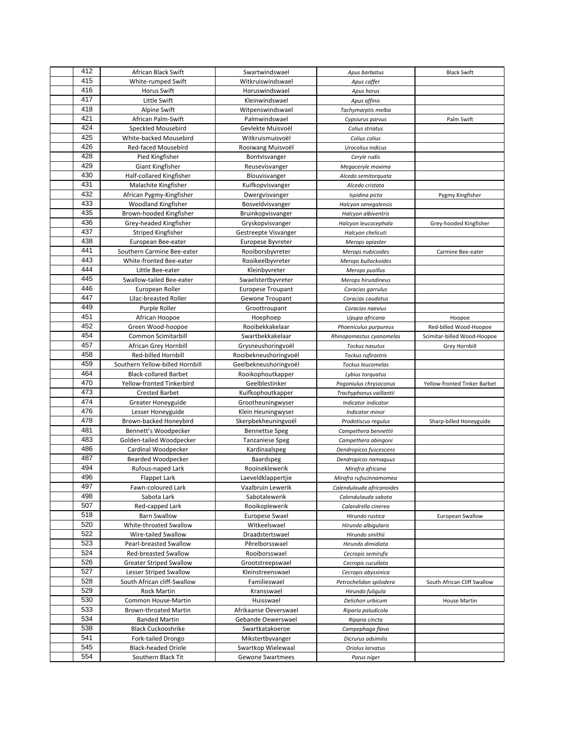| 412 | African Black Swift             | Swartwindswael           | Apus barbatus             | <b>Black Swift</b>           |
|-----|---------------------------------|--------------------------|---------------------------|------------------------------|
| 415 | White-rumped Swift              | Witkruiswindswael        | Apus caffer               |                              |
| 416 | <b>Horus Swift</b>              | Horuswindswael           | Apus horus                |                              |
| 417 | Little Swift                    | Kleinwindswael           | Apus affinis              |                              |
| 418 | <b>Alpine Swift</b>             | Witpenswindswael         | Tachymarptis melba        |                              |
| 421 | African Palm-Swift              | Palmwindswael            | Cypsiurus parvus          | Palm Swift                   |
| 424 | Speckled Mousebird              | Gevlekte Muisvoël        | Colius striatus           |                              |
| 425 | White-backed Mousebird          | Witkruismuisvoël         | Colius colius             |                              |
| 426 | Red-faced Mousebird             | Rooiwang Muisvoël        | Urocolius indicus         |                              |
| 428 | Pied Kingfisher                 | Bontvisvanger            | Ceryle rudis              |                              |
| 429 | Giant Kingfisher                | Reusevisvanger           | Megaceryle maxima         |                              |
| 430 | Half-collared Kingfisher        | Blouvisvanger            | Alcedo semitorquata       |                              |
| 431 | Malachite Kingfisher            | Kuifkopvisvanger         | Alcedo cristata           |                              |
| 432 | African Pygmy-Kingfisher        | Dwergvisvanger           | Ispidina picta            | Pygmy Kingfisher             |
| 433 | <b>Woodland Kingfisher</b>      | Bosveldvisvanger         | Halcyon senegalensis      |                              |
| 435 | Brown-hooded Kingfisher         | Bruinkopvisvanger        | Halcyon albiventris       |                              |
| 436 | Grey-headed Kingfisher          | Gryskopvisvanger         | Halcyon leucocephala      | Grey-hooded Kingfisher       |
| 437 | Striped Kingfisher              | Gestreepte Visvanger     | Halcyon chelicuti         |                              |
| 438 | European Bee-eater              | Europese Byvreter        | Merops apiaster           |                              |
| 441 | Southern Carmine Bee-eater      | Rooiborsbyvreter         | Merops nubicoides         | Carmine Bee-eater            |
| 443 | White-fronted Bee-eater         | Rooikeelbyvreter         | Merops bullockoides       |                              |
| 444 | Little Bee-eater                | Kleinbyvreter            | Merops pusillus           |                              |
| 445 | Swallow-tailed Bee-eater        | Swaelstertbyvreter       | Merops hirundineus        |                              |
| 446 | European Roller                 | <b>Europese Troupant</b> | Coracias garrulus         |                              |
| 447 | Lilac-breasted Roller           | Gewone Troupant          | Coracias caudatus         |                              |
| 449 | Purple Roller                   | Groottroupant            | Coracias naevius          |                              |
| 451 | African Hoopoe                  | Hoephoep                 | Upupa africana            | Hoopoe                       |
| 452 | Green Wood-hoopoe               | Rooibekkakelaar          | Phoeniculus purpureus     | Red-billed Wood-Hoopoe       |
| 454 | Common Scimitarbill             | Swartbekkakelaar         | Rhinopomastus cyanomelas  | Scimitar-billed Wood-Hoopoe  |
| 457 | African Grey Hornbill           | Grysneushoringvoël       | Tockus nasutus            | Grey Hornbill                |
| 458 | Red-billed Hornbill             | Rooibekneushoringvoël    | Tockus rufirostris        |                              |
| 459 | Southern Yellow-billed Hornbill | Geelbekneushoringvoël    | Tockus leucomelas         |                              |
| 464 | <b>Black-collared Barbet</b>    | Rooikophoutkapper        | Lybius torquatus          |                              |
| 470 | Yellow-fronted Tinkerbird       | Geelblestinker           | Pogoniulus chrysoconus    | Yellow-fronted Tinker Barbet |
| 473 | <b>Crested Barbet</b>           | Kuifkophoutkapper        | Trachyphonus vaillantii   |                              |
| 474 | Greater Honeyguide              | Grootheuningwyser        | Indicator indicator       |                              |
| 476 | Lesser Honeyguide               | Klein Heuningwyser       | Indicator minor           |                              |
| 478 | Brown-backed Honeybird          | Skerpbekheuningvoël      | Prodotiscus regulus       | Sharp-billed Honeyguide      |
| 481 | Bennett's Woodpecker            | <b>Bennettse Speg</b>    | Campethera bennettii      |                              |
| 483 | Golden-tailed Woodpecker        | <b>Tanzaniese Speg</b>   | Campethera abingoni       |                              |
| 486 | Cardinal Woodpecker             | Kardinaalspeg            | Dendropicos fuscescens    |                              |
| 487 | Bearded Woodpecker              | Baardspeg                | Dendropicos namaquus      |                              |
| 494 | Rufous-naped Lark               | Rooineklewerik           | Mirafra africana          |                              |
| 496 | Flappet Lark                    | Laeveldklappertjie       | Mirafra rufocinnamomea    |                              |
| 497 | Fawn-coloured Lark              | Vaalbruin Lewerik        | Calendulauda africanoides |                              |
| 498 | Sabota Lark                     | Sabotalewerik            | Calendulauda sabota       |                              |
| 507 | Red-capped Lark                 | Rooikoplewerik           | Calandrella cinerea       |                              |
| 518 | Barn Swallow                    | <b>Europese Swael</b>    | Hirundo rustica           | European Swallow             |
| 520 | White-throated Swallow          | Witkeelswael             | Hirundo albigularis       |                              |
| 522 | Wire-tailed Swallow             | Draadstertswael          | Hirundo smithii           |                              |
| 523 | Pearl-breasted Swallow          | Pêrelborsswael           | Hirundo dimidiata         |                              |
| 524 | Red-breasted Swallow            | Rooiborsswael            | Cecropis semirufa         |                              |
| 526 | <b>Greater Striped Swallow</b>  | Grootstreepswael         | Cecropis cucullata        |                              |
| 527 | Lesser Striped Swallow          | Kleinstreenswael         | Cecropis abyssinica       |                              |
| 528 | South African cliff-Swallow     | Familieswael             | Petrochelidon spilodera   | South African Cliff Swallow  |
| 529 | Rock Martin                     | Kransswael               | Hirundo fuligula          |                              |
| 530 | Common House-Martin             | Huisswael                | Delichon urbicum          | House Martin                 |
| 533 | Brown-throated Martin           | Afrikaanse Oeverswael    | Riparia paludicola        |                              |
| 534 | <b>Banded Martin</b>            | Gebande Oewerswael       | Riparia cincta            |                              |
| 538 | <b>Black Cuckooshrike</b>       | Swartkatakoeroe          | Campephaga flava          |                              |
| 541 | Fork-tailed Drongo              | Mikstertbyvanger         | Dicrurus adsimilis        |                              |
| 545 | <b>Black-headed Oriole</b>      | Swartkop Wielewaal       | Oriolus larvatus          |                              |
| 554 | Southern Black Tit              | Gewone Swartmees         | Parus niger               |                              |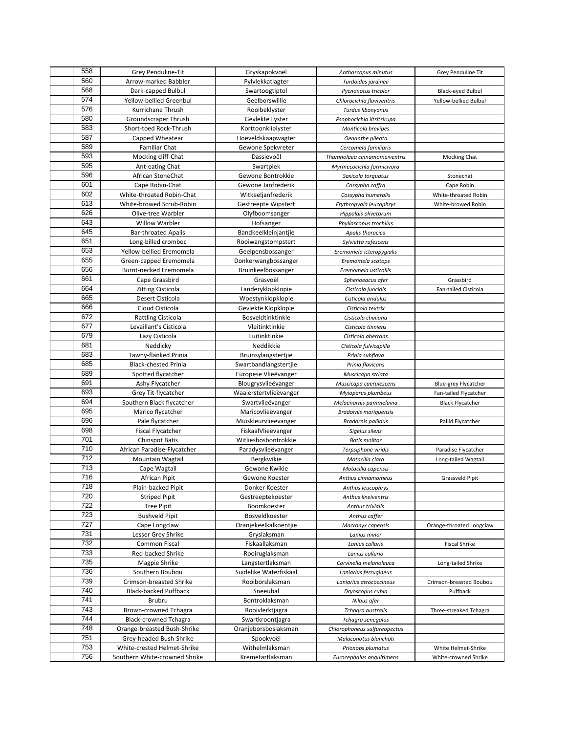| 558 | Grey Penduline-Tit                              | Gryskapokvoël                                | Anthoscopus minutus                      | Grey Penduline Tit       |
|-----|-------------------------------------------------|----------------------------------------------|------------------------------------------|--------------------------|
| 560 | Arrow-marked Babbler                            | Pylvlekkatlagter                             | Turdoides jardineii                      |                          |
| 568 | Dark-capped Bulbul                              | Swartoogtiptol                               | Pycnonotus tricolor                      | Black-eyed Bulbul        |
| 574 | Yellow-bellied Greenbul                         | Geelborswillie                               | Chlorocichla flaviventris                | Yellow-bellied Bulbul    |
| 576 | Kurrichane Thrush                               | Rooibeklyster                                | Turdus libonyanus                        |                          |
| 580 | Groundscraper Thrush                            | Gevlekte Lyster                              | Psophocichla litsitsirupa                |                          |
| 583 | Short-toed Rock-Thrush                          | Korttoonkliplyster                           | Monticola brevipes                       |                          |
| 587 | Capped Wheatear                                 | Hoëveldskaapwagter                           | Oenanthe pileata                         |                          |
| 589 | <b>Familiar Chat</b>                            | Gewone Spekvreter                            | Cercomela familiaris                     |                          |
| 593 | Mocking cliff-Chat                              | Dassievoël                                   | Thamnolaea cinnamomeiventris             | <b>Mocking Chat</b>      |
| 595 | Ant-eating Chat                                 | Swartpiek                                    | Myrmecocichla formicivora                |                          |
| 596 | African StoneChat                               | Gewone Bontrokkie                            | Saxicola torquatus                       | Stonechat                |
| 601 | Cape Robin-Chat                                 | Gewone Janfrederik                           | Cossypha caffra                          | Cape Robin               |
| 602 | White-throated Robin-Chat                       | Witkeeljanfrederik                           | Cossypha humeralis                       | White-throated Robin     |
| 613 | White-browed Scrub-Robin                        | Gestreepte Wipstert                          | Erythropygia leucophrys                  | White-browed Robin       |
| 626 | Olive-tree Warbler                              | Olyfboomsanger                               | Hippolais olivetorum                     |                          |
| 643 | <b>Willow Warbler</b>                           | Hofsanger                                    | Phylloscopus trochilus                   |                          |
| 645 | <b>Bar-throated Apalis</b>                      | Bandkeelkleinjantjie                         | Apalis thoracica                         |                          |
| 651 | Long-billed crombec                             | Rooiwangstompstert                           | Sylvietta rufescens                      |                          |
| 653 | Yellow-bellied Eremomela                        | Geelpensbossanger                            | Eremomela icteropygialis                 |                          |
| 655 | Green-capped Eremomela                          | Donkerwangbossanger                          | Eremomela scotops                        |                          |
| 656 | Burnt-necked Eremomela                          | Bruinkeelbossanger                           |                                          |                          |
| 661 | Cape Grassbird                                  | Grasvoël                                     | Eremomela usticollis<br>Sphenoeacus afer | Grassbird                |
| 664 | <b>Zitting Cisticola</b>                        | Landeryklopklopie                            | Cisticola juncidis                       | Fan-tailed Cisticola     |
| 665 | Desert Cisticola                                | Woestynklopklopie                            | Cisticola aridulus                       |                          |
| 666 | Cloud Cisticola                                 | Gevlekte Klopklopie                          | Cisticola textrix                        |                          |
| 672 | <b>Rattling Cisticola</b>                       | Bosveldtinktinkie                            | Cisticola chiniana                       |                          |
| 677 | Levaillant's Cisticola                          | Vleitinktinkie                               | Cisticola tinniens                       |                          |
| 679 |                                                 |                                              |                                          |                          |
| 681 | Lazy Cisticola<br>Neddicky                      | Luitinktinkie<br>Neddikkie                   | Cisticola aberrans                       |                          |
| 683 | Tawny-flanked Prinia                            |                                              | Cisticola fulvicapilla                   |                          |
| 685 | <b>Black-chested Prinia</b>                     | Bruinsylangstertjie<br>Swartbandlangstertjie | Prinia subflava                          |                          |
| 689 | Spotted flycatcher                              |                                              | Prinia flavicans                         |                          |
| 691 |                                                 | Europese Vlieëvanger                         | Muscicapa striata                        |                          |
| 693 | Ashy Flycatcher                                 | Blougrysvlieëvanger                          | Muscicapa caerulescens                   | Blue-grey Flycatcher     |
| 694 | Grey Tit-flycatcher                             | Waaierstertvlieëvanger                       | Myioparus plumbeus                       | Fan-tailed Flycatcher    |
| 695 | Southern Black flycatcher<br>Marico flycatcher  | Swartvlieëvanger<br>Maricovlieëvanger        | Melaenornis pammelaina                   | <b>Black Flycatcher</b>  |
| 696 |                                                 |                                              | <b>Bradornis mariquensis</b>             |                          |
| 698 | Pale flycatcher                                 | Muiskleurvlieëvanger                         | <b>Bradornis pallidus</b>                | Pallid Flycatcher        |
| 701 | Fiscal Flycatcher                               | FiskaalVlieëvanger<br>Witliesbosbontrokkie   | Sigelus silens                           |                          |
| 710 | <b>Chinspot Batis</b>                           |                                              | <b>Batis molitor</b>                     |                          |
| 712 | African Paradise-Flycatcher<br>Mountain Wagtail | Paradysvlieëvanger                           | Terpsiphone viridis                      | Paradise Flycatcher      |
| 713 |                                                 | Bergkwikie<br>Gewone Kwikie                  | Motacilla clara                          | Long-tailed Wagtail      |
| 716 | Cape Wagtail                                    |                                              | Motacilla capensis                       |                          |
| 718 | African Pipit<br>Plain-backed Pipit             | Gewone Koester<br>Donker Koester             | Anthus cinnamomeus<br>Anthus leucophrys  | <b>Grassveld Pipit</b>   |
| 720 | <b>Striped Pipit</b>                            | Gestreeptekoester                            | Anthus lineiventris                      |                          |
| 722 | <b>Tree Pipit</b>                               | Boomkoester                                  | Anthus trivialis                         |                          |
| 723 | <b>Bushveld Pipit</b>                           | Bosveldkoester                               | Anthus caffer                            |                          |
| 727 |                                                 |                                              |                                          |                          |
| 731 | Cape Longclaw                                   | Oranjekeelkalkoentjie                        | Macronyx capensis                        | Orange-throated Longclaw |
| 732 | Lesser Grey Shrike<br>Common Fiscal             | Gryslaksman                                  | Lanius minor                             | <b>Fiscal Shrike</b>     |
| 733 |                                                 | Fiskaallaksman                               | Lanius collaris                          |                          |
| 735 | Red-backed Shrike                               | Rooiruglaksman                               | Lanius collurio                          |                          |
| 736 | Magpie Shrike                                   | Langstertlaksman                             | Corvinella melanoleuca                   | Long-tailed Shrike       |
| 739 | Southern Boubou                                 | Suidelike Waterfiskaal                       | Laniarius ferrugineus                    |                          |
| 740 | Crimson-breasted Shrike                         | Rooiborslaksman                              | Laniarius atrococcineus                  | Crimson-breasted Boubou  |
| 741 | <b>Black-backed Puffback</b>                    | Sneeubal                                     | Dryoscopus cubla                         | Puffback                 |
| 743 | <b>Brubru</b>                                   | Bontroklaksman                               | Nilaus afer                              |                          |
| 744 | Brown-crowned Tchagra                           | Rooivlerktjagra                              | Tchagra australis                        | Three-streaked Tchagra   |
| 748 | <b>Black-crowned Tchagra</b>                    | Swartkroontjagra                             | Tchagra senegalus                        |                          |
| 751 | Orange-breasted Bush-Shrike                     | Oranjeborsboslaksman                         | Chlorophoneus sulfureopectus             |                          |
| 753 | Grey-headed Bush-Shrike                         | Spookvoël                                    | Malaconotus blanchoti                    |                          |
|     | White-crested Helmet-Shrike                     | Withelmlaksman                               | Prionops plumatus                        | White Helmet-Shrike      |
| 756 | Southern White-crowned Shrike                   | Kremetartlaksman                             | Eurocephalus anguitimens                 | White-crowned Shrike     |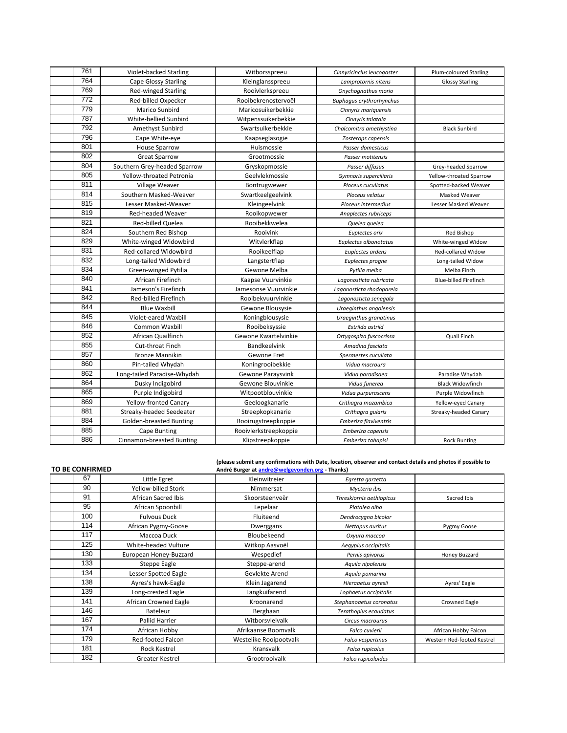| 761              | Violet-backed Starling       | Witborsspreeu         | Cinnyricinclus leucogaster      | Plum-coloured Starling       |
|------------------|------------------------------|-----------------------|---------------------------------|------------------------------|
| 764              | <b>Cape Glossy Starling</b>  | Kleinglansspreeu      | Lamprotornis nitens             | <b>Glossy Starling</b>       |
| 769              | <b>Red-winged Starling</b>   | Rooivlerkspreeu       | Onychognathus morio             |                              |
| $\overline{772}$ | Red-billed Oxpecker          | Rooibekrenostervoël   | <b>Buphagus erythrorhynchus</b> |                              |
| 779              | Marico Sunbird               | Maricosuikerbekkie    | Cinnyris mariquensis            |                              |
| 787              | White-bellied Sunbird        | Witpenssuikerbekkie   | Cinnyris talatala               |                              |
| 792              | Amethyst Sunbird             | Swartsuikerbekkie     | Chalcomitra amethystina         | <b>Black Sunbird</b>         |
| 796              | Cape White-eye               | Kaapseglasogie        | Zosterops capensis              |                              |
| 801              | <b>House Sparrow</b>         | Huismossie            | Passer domesticus               |                              |
| 802              | <b>Great Sparrow</b>         | Grootmossie           | Passer motitensis               |                              |
| 804              | Southern Grey-headed Sparrow | Gryskopmossie         | Passer diffusus                 | Grey-headed Sparrow          |
| 805              | Yellow-throated Petronia     | Geelvlekmossie        | Gymnoris superciliaris          | Yellow-throated Sparrow      |
| 811              | Village Weaver               | Bontrugwewer          | Ploceus cucullatus              | Spotted-backed Weaver        |
| 814              | Southern Masked-Weaver       | Swartkeelgeelvink     | Ploceus velatus                 | Masked Weaver                |
| 815              | Lesser Masked-Weaver         | Kleingeelvink         | Ploceus intermedius             | Lesser Masked Weaver         |
| 819              | Red-headed Weaver            | Rooikopwewer          | Anaplectes rubriceps            |                              |
| 821              | <b>Red-billed Quelea</b>     | Rooibekkwelea         | Quelea quelea                   |                              |
| 824              | Southern Red Bishop          | Rooivink              | Euplectes orix                  | Red Bishop                   |
| 829              | White-winged Widowbird       | Witvlerkflap          | Euplectes albonotatus           | White-winged Widow           |
| 831              | Red-collared Widowbird       | Rooikeelflap          | Euplectes ardens                | Red-collared Widow           |
| 832              | Long-tailed Widowbird        | Langstertflap         | Euplectes progne                | Long-tailed Widow            |
| 834              | Green-winged Pytilia         | Gewone Melba          | Pytilia melba                   | Melba Finch                  |
| 840              | African Firefinch            | Kaapse Vuurvinkie     | Lagonosticta rubricata          | <b>Blue-billed Firefinch</b> |
| 841              | Jameson's Firefinch          | Jamesonse Vuurvinkie  | Lagonosticta rhodopareia        |                              |
| 842              | Red-billed Firefinch         | Rooibekvuurvinkie     | Lagonosticta senegala           |                              |
| 844              | <b>Blue Waxbill</b>          | Gewone Blousysie      | Uraeginthus angolensis          |                              |
| 845              | Violet-eared Waxbill         | Koningblousysie       | Uraeginthus granatinus          |                              |
| 846              | Common Waxbill               | Rooibeksyssie         | Estrilda astrild                |                              |
| 852              | African Quailfinch           | Gewone Kwartelvinkie  | Ortygospiza fuscocrissa         | Quail Finch                  |
| 855              | Cut-throat Finch             | <b>Bandkeelvink</b>   | Amadina fasciata                |                              |
| 857              | <b>Bronze Mannikin</b>       | Gewone Fret           | Spermestes cucullata            |                              |
| 860              | Pin-tailed Whydah            | Koningrooibekkie      | Vidua macroura                  |                              |
| 862              | Long-tailed Paradise-Whydah  | Gewone Paraysvink     | Vidua paradisaea                | Paradise Whydah              |
| 864              | Dusky Indigobird             | Gewone Blouvinkie     | Vidua funerea                   | <b>Black Widowfinch</b>      |
| 865              | Purple Indigobird            | Witpootblouvinkie     | Vidua purpurascens              | Purple Widowfinch            |
| 869              | <b>Yellow-fronted Canary</b> | Geeloogkanarie        | Crithagra mozambica             | Yellow-eyed Canary           |
| 881              | Streaky-headed Seedeater     | Streepkopkanarie      | Crithagra gularis               | Streaky-headed Canary        |
| 884              | Golden-breasted Bunting      | Rooirugstreepkoppie   | Emberiza flaviventris           |                              |
| 885              | <b>Cape Bunting</b>          | Rooivlerkstreepkoppie | Emberiza capensis               |                              |
| 886              | Cinnamon-breasted Bunting    | Klipstreepkoppie      | Emberiza tahapisi               | <b>Rock Bunting</b>          |

## **TO BE CONFIRMED**

**(please submit any confirmations with Date, location, observer and contact details and photos if possible to André Burger at andre@welgevonden.org - Thanks)** 

| TO DE CONFINIVIED |                        | Andre Burger at andre@welgevonden.org - Thanks) |                          |                            |
|-------------------|------------------------|-------------------------------------------------|--------------------------|----------------------------|
| 67                | Little Egret           | Kleinwitreier                                   | Egretta garzetta         |                            |
| 90                | Yellow-billed Stork    | Nimmersat                                       | Mycteria ibis            |                            |
| 91                | African Sacred Ibis    | Skoorsteenveër                                  | Threskiornis aethiopicus | Sacred Ibis                |
| 95                | African Spoonbill      | Lepelaar                                        | Platalea alba            |                            |
| 100               | <b>Fulvous Duck</b>    | Fluiteend                                       | Dendrocygna bicolor      |                            |
| 114               | African Pygmy-Goose    | Dwerggans                                       | Nettapus auritus         | Pygmy Goose                |
| 117               | Maccoa Duck            | Bloubekeend                                     | Oxyura maccoa            |                            |
| 125               | White-headed Vulture   | Witkop Aasvoël                                  | Aegypius occipitalis     |                            |
| 130               | European Honey-Buzzard | Wespedief                                       | Pernis apivorus          | Honey Buzzard              |
| 133               | Steppe Eagle           | Steppe-arend                                    | Aquila nipalensis        |                            |
| 134               | Lesser Spotted Eagle   | Gevlekte Arend                                  | Aquila pomarina          |                            |
| 138               | Ayres's hawk-Eagle     | Klein Jagarend                                  | Hieraaetus ayresii       | Ayres' Eagle               |
| 139               | Long-crested Eagle     | Langkuifarend                                   | Lophaetus occipitalis    |                            |
| 141               | African Crowned Eagle  | Kroonarend                                      | Stephanoaetus coronatus  | Crowned Eagle              |
| 146               | Bateleur               | Berghaan                                        | Terathopius ecaudatus    |                            |
| 167               | Pallid Harrier         | Witborsvleivalk                                 | Circus macrourus         |                            |
| 174               | African Hobby          | Afrikaanse Boomvalk                             | Falco cuvierii           | African Hobby Falcon       |
| 179               | Red-footed Falcon      | Westelike Rooipootvalk                          | Falco vespertinus        | Western Red-footed Kestrel |
| 181               | <b>Rock Kestrel</b>    | Kransvalk                                       | Falco rupicolus          |                            |
| 182               | Greater Kestrel        | Grootrooivalk                                   | Falco rupicoloides       |                            |